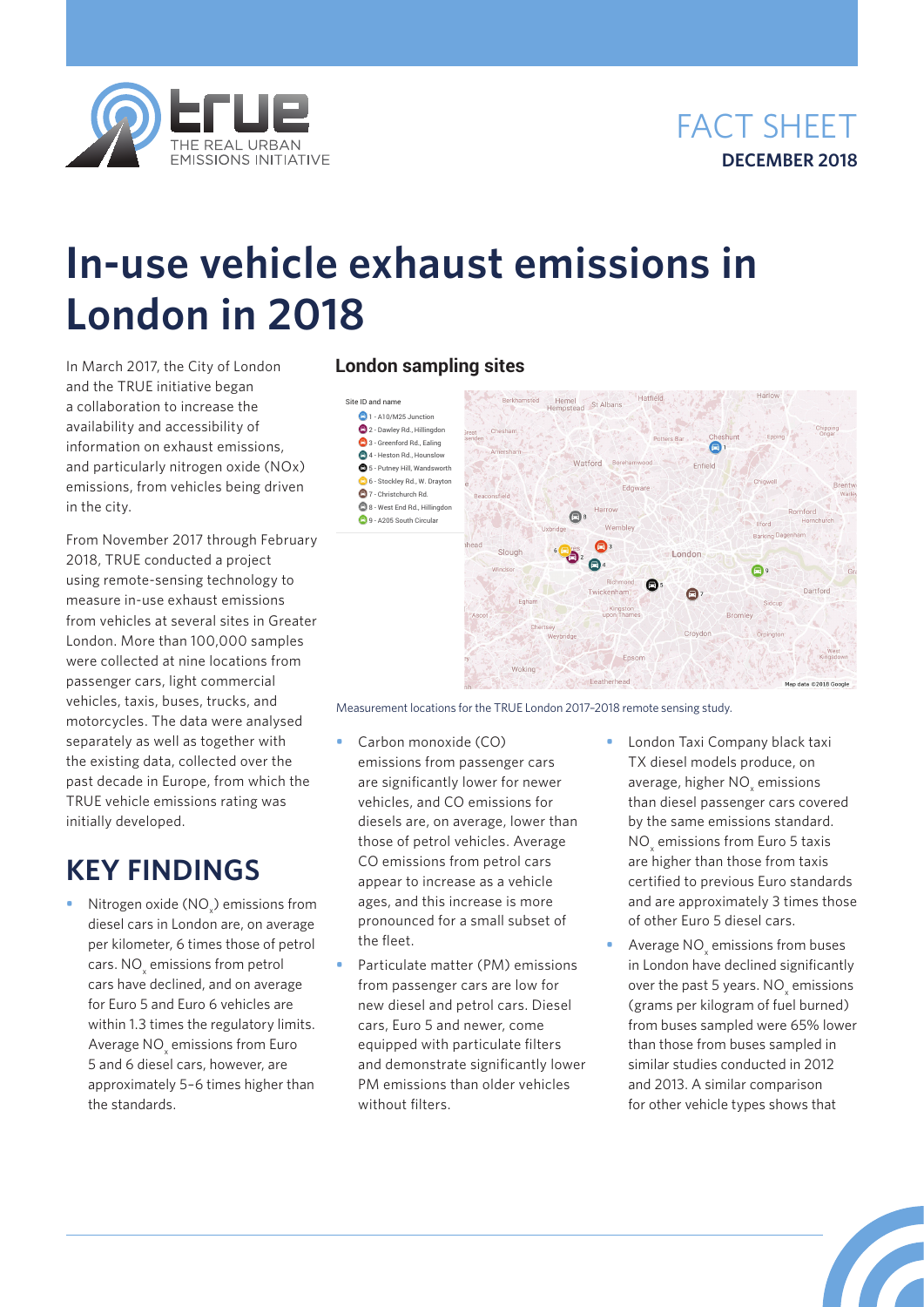



# **In-use vehicle exhaust emissions in London in 2018**

In March 2017, the City of London and the TRUE initiative began a collaboration to increase the availability and accessibility of information on exhaust emissions, and particularly nitrogen oxide (NOx) emissions, from vehicles being driven in the city.

From November 2017 through February 2018, TRUE conducted a project using remote-sensing technology to measure in-use exhaust emissions from vehicles at several sites in Greater London. More than 100,000 samples were collected at nine locations from passenger cars, light commercial vehicles, taxis, buses, trucks, and motorcycles. The data were analysed separately as well as together with the existing data, collected over the past decade in Europe, from which the TRUE vehicle emissions rating was initially developed.

# **KEY FINDINGS**

• Nitrogen oxide (NO<sub>x</sub>) emissions from diesel cars in London are, on average per kilometer, 6 times those of petrol cars.  $\mathsf{NO}_\mathsf{x}$  emissions from petrol cars have declined, and on average for Euro 5 and Euro 6 vehicles are within 1.3 times the regulatory limits. Average  $\mathsf{NO}_\mathsf{x}$  emissions from Euro 5 and 6 diesel cars, however, are approximately 5–6 times higher than the standards.

## **London sampling sites**

Site ID and name **2** 1 - A10/M25 Junction  $\bigcirc$  2 - Dawley Rd., Hillingdon **3** - Greenford Rd., Ealing 4 - Heston Rd., Hounslow  $6$  5 - Putney Hill, Wandsworth 6 - Stockley Rd., W. Drayton 7 - Christchurch Rd.  $@$ 8 - West End Rd., Hillingdon 9 - A205 South Circular



Measurement locations for the TRUE London 2017–2018 remote sensing study.

- **•** Carbon monoxide (CO) emissions from passenger cars are significantly lower for newer vehicles, and CO emissions for diesels are, on average, lower than those of petrol vehicles. Average CO emissions from petrol cars appear to increase as a vehicle ages, and this increase is more pronounced for a small subset of the fleet.
- **•** Particulate matter (PM) emissions from passenger cars are low for new diesel and petrol cars. Diesel cars, Euro 5 and newer, come equipped with particulate filters and demonstrate significantly lower PM emissions than older vehicles without filters
- **•** London Taxi Company black taxi TX diesel models produce, on average, higher  $\text{NO}_x$  emissions than diesel passenger cars covered by the same emissions standard.  $NO<sub>x</sub>$  emissions from Euro 5 taxis are higher than those from taxis certified to previous Euro standards and are approximately 3 times those of other Euro 5 diesel cars.
- **•** Average NO<sub>x</sub> emissions from buses in London have declined significantly over the past 5 years.  $NO_x$  emissions (grams per kilogram of fuel burned) from buses sampled were 65% lower than those from buses sampled in similar studies conducted in 2012 and 2013. A similar comparison for other vehicle types shows that